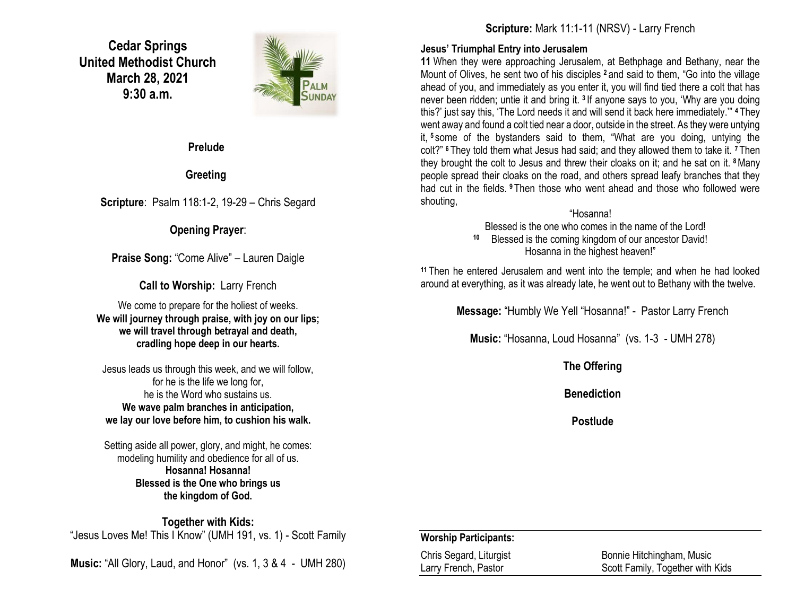**Cedar Springs United Methodist Church March 28, 2021 9:30 a.m.**



#### **Prelude**

## **Greeting**

**Scripture**: Psalm 118:1-2, 19-29 – Chris Segard

## **Opening Prayer**:

**Praise Song:** "Come Alive" – Lauren Daigle

**Call to Worship:** Larry French

We come to prepare for the holiest of weeks. **We will journey through praise, with joy on our lips; we will travel through betrayal and death, cradling hope deep in our hearts.**

Jesus leads us through this week, and we will follow, for he is the life we long for, he is the Word who sustains us. **We wave palm branches in anticipation, we lay our love before him, to cushion his walk.**

Setting aside all power, glory, and might, he comes: modeling humility and obedience for all of us. **Hosanna! Hosanna! Blessed is the One who brings us the kingdom of God.**

**Together with Kids:** "Jesus Loves Me! This I Know" (UMH 191, vs. 1) - Scott Family

**Music:** "All Glory, Laud, and Honor" (vs. 1, 3 & 4 - UMH 280)

**Scripture:** Mark 11:1-11 (NRSV) - Larry French

#### **Jesus' Triumphal Entry into Jerusalem**

**11** When they were approaching Jerusalem, at Bethphage and Bethany, near the Mount of Olives, he sent two of his disciples **<sup>2</sup>** and said to them, "Go into the village ahead of you, and immediately as you enter it, you will find tied there a colt that has never been ridden; untie it and bring it. **<sup>3</sup>** If anyone says to you, 'Why are you doing this?' just say this, 'The Lord needs it and will send it back here immediately.'" **<sup>4</sup>** They went away and found a colt tied near a door, outside in the street. As they were untying it, **<sup>5</sup>** some of the bystanders said to them, "What are you doing, untying the colt?" **<sup>6</sup>** They told them what Jesus had said; and they allowed them to take it. **<sup>7</sup>** Then they brought the colt to Jesus and threw their cloaks on it; and he sat on it. **<sup>8</sup>**Many people spread their cloaks on the road, and others spread leafy branches that they had cut in the fields. **<sup>9</sup>** Then those who went ahead and those who followed were shouting,

## "Hosanna!

Blessed is the one who comes in the name of the Lord!

**10** Blessed is the coming kingdom of our ancestor David! Hosanna in the highest heaven!"

**<sup>11</sup>** Then he entered Jerusalem and went into the temple; and when he had looked around at everything, as it was already late, he went out to Bethany with the twelve.

**Message:** "Humbly We Yell "Hosanna!" - Pastor Larry French

**Music:** "Hosanna, Loud Hosanna" (vs. 1-3 - UMH 278)

**The Offering**

**Benediction**

**Postlude**

### **Worship Participants:**

Chris Segard, Liturgist Bonnie Hitchingham, Music Larry French, Pastor **Scott Family, Together with Kids**